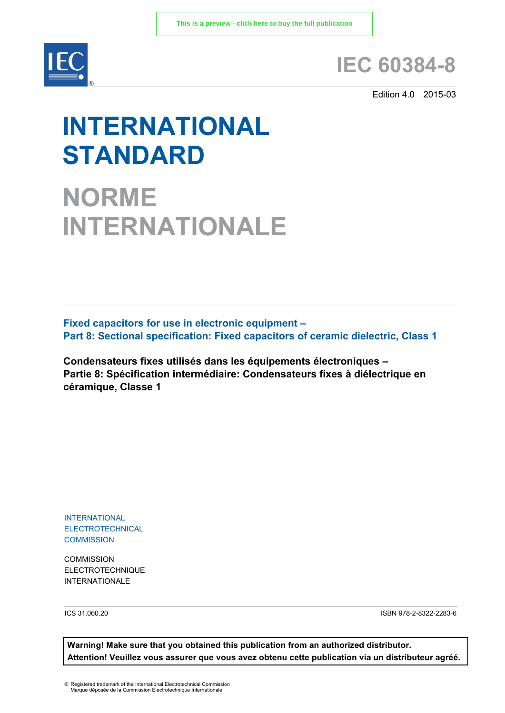

## **IEC 60384-8**

Edition 4.0 2015-03

# **INTERNATIONAL STANDARD**

**NORME INTERNATIONALE**

**Fixed capacitors for use in electronic equipment – Part 8: Sectional specification: Fixed capacitors of ceramic dielectric, Class 1**

**Condensateurs fixes utilisés dans les équipements électroniques – Partie 8: Spécification intermédiaire: Condensateurs fixes à diélectrique en céramique, Classe 1** 

INTERNATIONAL **ELECTROTECHNICAL COMMISSION** 

**COMMISSION** ELECTROTECHNIQUE INTERNATIONAL F

ICS 31.060.20 ISBN 978-2-8322-2283-6

**Warning! Make sure that you obtained this publication from an authorized distributor. Attention! Veuillez vous assurer que vous avez obtenu cette publication via un distributeur agréé.**

® Registered trademark of the International Electrotechnical Commission Marque déposée de la Commission Electrotechnique Internationale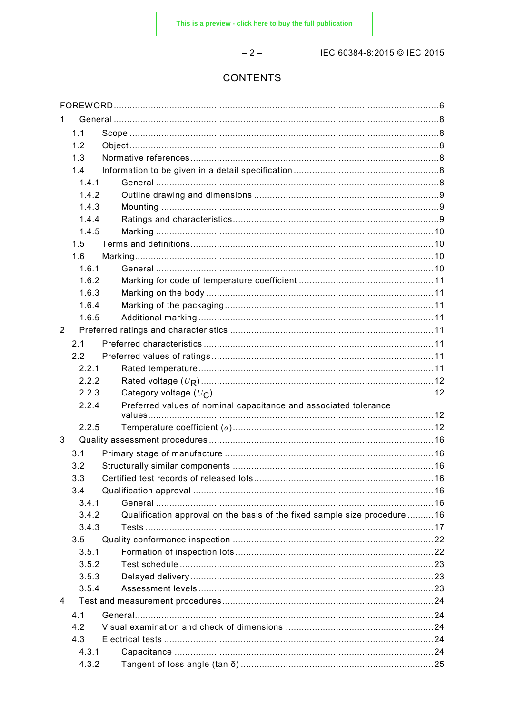$-2-$ 

IEC 60384-8:2015 © IEC 2015

## **CONTENTS**

| 1              |       |                                                                           |    |
|----------------|-------|---------------------------------------------------------------------------|----|
|                | 1.1   |                                                                           |    |
|                | 1.2   |                                                                           |    |
|                | 1.3   |                                                                           |    |
|                | 1.4   |                                                                           |    |
|                | 1.4.1 |                                                                           |    |
|                | 1.4.2 |                                                                           |    |
|                | 1.4.3 |                                                                           |    |
|                | 1.4.4 |                                                                           |    |
|                | 1.4.5 |                                                                           |    |
|                | 1.5   |                                                                           |    |
|                | 1.6   |                                                                           |    |
|                | 1.6.1 |                                                                           |    |
|                | 1.6.2 |                                                                           |    |
|                | 1.6.3 |                                                                           |    |
|                | 1.6.4 |                                                                           |    |
|                | 1.6.5 |                                                                           |    |
| $\overline{2}$ |       |                                                                           |    |
|                | 2.1   |                                                                           |    |
|                | 2.2   |                                                                           |    |
|                | 2.2.1 |                                                                           |    |
|                | 2.2.2 |                                                                           |    |
|                | 2.2.3 |                                                                           |    |
|                | 2.2.4 | Preferred values of nominal capacitance and associated tolerance          |    |
|                |       |                                                                           |    |
|                | 2.2.5 |                                                                           |    |
| 3              |       |                                                                           |    |
|                | 3.1   |                                                                           |    |
|                | 3.2   |                                                                           |    |
|                | 33    | Certified test records of released lots.                                  | 16 |
|                | 3.4   |                                                                           |    |
|                | 3.4.1 |                                                                           |    |
|                | 3.4.2 | Qualification approval on the basis of the fixed sample size procedure 16 |    |
|                | 3.4.3 |                                                                           |    |
|                | 3.5   |                                                                           |    |
|                | 3.5.1 |                                                                           |    |
|                | 3.5.2 |                                                                           |    |
|                | 3.5.3 |                                                                           |    |
|                | 3.5.4 |                                                                           |    |
| 4              |       |                                                                           |    |
|                | 4.1   |                                                                           |    |
|                | 4.2   |                                                                           |    |
|                | 4.3   |                                                                           |    |
|                | 4.3.1 |                                                                           |    |
|                | 4.3.2 |                                                                           |    |
|                |       |                                                                           |    |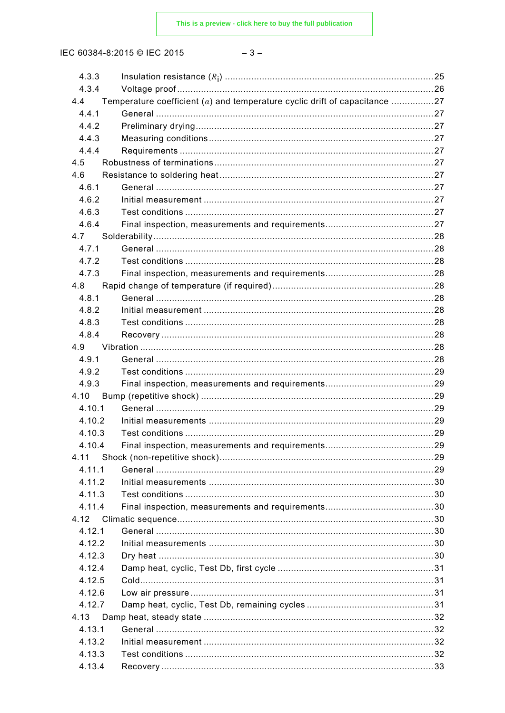IEC 60384-8:2015 © IEC 2015

| 4.3.3  |                                                                              |  |
|--------|------------------------------------------------------------------------------|--|
| 4.3.4  |                                                                              |  |
| 4.4    | Temperature coefficient $(a)$ and temperature cyclic drift of capacitance 27 |  |
| 4.4.1  |                                                                              |  |
| 4.4.2  |                                                                              |  |
| 4.4.3  |                                                                              |  |
| 4.4.4  |                                                                              |  |
| 4.5    |                                                                              |  |
| 4.6    |                                                                              |  |
| 4.6.1  |                                                                              |  |
| 4.6.2  |                                                                              |  |
| 4.6.3  |                                                                              |  |
| 4.6.4  |                                                                              |  |
| 4.7    |                                                                              |  |
| 4.7.1  |                                                                              |  |
| 4.7.2  |                                                                              |  |
| 4.7.3  |                                                                              |  |
| 4.8    |                                                                              |  |
| 4.8.1  |                                                                              |  |
| 4.8.2  |                                                                              |  |
| 4.8.3  |                                                                              |  |
| 4.8.4  |                                                                              |  |
| 4.9    |                                                                              |  |
| 4.9.1  |                                                                              |  |
| 4.9.2  |                                                                              |  |
| 4.9.3  |                                                                              |  |
| 4.10   |                                                                              |  |
| 4.10.1 |                                                                              |  |
| 4.10.2 |                                                                              |  |
| 4.10.3 |                                                                              |  |
| 4.10.4 |                                                                              |  |
| 4.11   |                                                                              |  |
| 4.11.1 |                                                                              |  |
| 4.11.2 |                                                                              |  |
| 4.11.3 |                                                                              |  |
| 4.11.4 |                                                                              |  |
| 4.12   |                                                                              |  |
| 4.12.1 |                                                                              |  |
| 4.12.2 |                                                                              |  |
| 4.12.3 |                                                                              |  |
| 4.12.4 |                                                                              |  |
| 4.12.5 |                                                                              |  |
| 4.12.6 |                                                                              |  |
| 4.12.7 |                                                                              |  |
| 4.13   |                                                                              |  |
| 4.13.1 |                                                                              |  |
| 4.13.2 |                                                                              |  |
| 4.13.3 |                                                                              |  |
| 4.13.4 |                                                                              |  |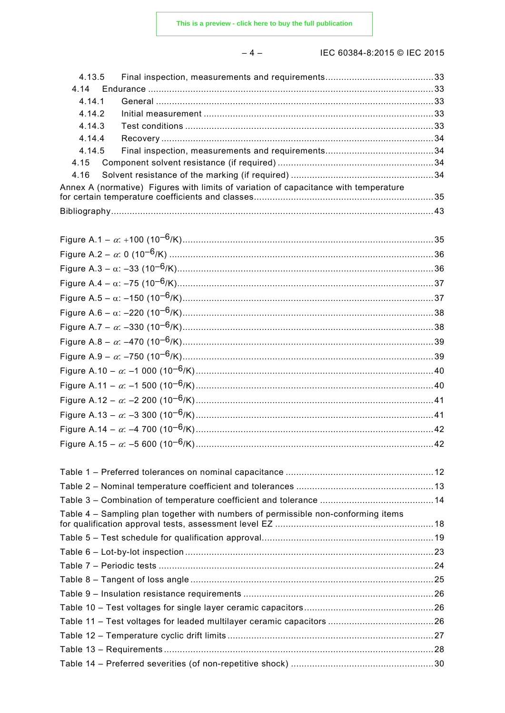$-4-$ 

## IEC 60384-8:2015 © IEC 2015

| 4.14   |                                                                                      |  |
|--------|--------------------------------------------------------------------------------------|--|
| 4.14.1 |                                                                                      |  |
| 4.14.2 |                                                                                      |  |
| 4.14.3 |                                                                                      |  |
| 4.14.4 |                                                                                      |  |
| 4.14.5 |                                                                                      |  |
| 4.15   |                                                                                      |  |
|        |                                                                                      |  |
|        | Annex A (normative) Figures with limits of variation of capacitance with temperature |  |
|        |                                                                                      |  |

| $\sim$ . Total transfer than the contract output that $\sim$ . The contract contract the contract of $\sim$ |  |
|-------------------------------------------------------------------------------------------------------------|--|
|                                                                                                             |  |
|                                                                                                             |  |
| Table 4 – Sampling plan together with numbers of permissible non-conforming items                           |  |
|                                                                                                             |  |
|                                                                                                             |  |
|                                                                                                             |  |
|                                                                                                             |  |
|                                                                                                             |  |
|                                                                                                             |  |
|                                                                                                             |  |
|                                                                                                             |  |
|                                                                                                             |  |
|                                                                                                             |  |
|                                                                                                             |  |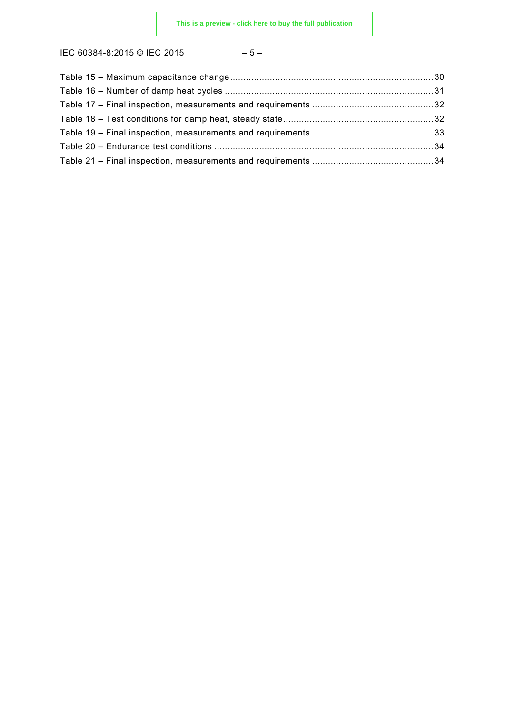IEC 60384-8:2015 © IEC 2015 – 5 –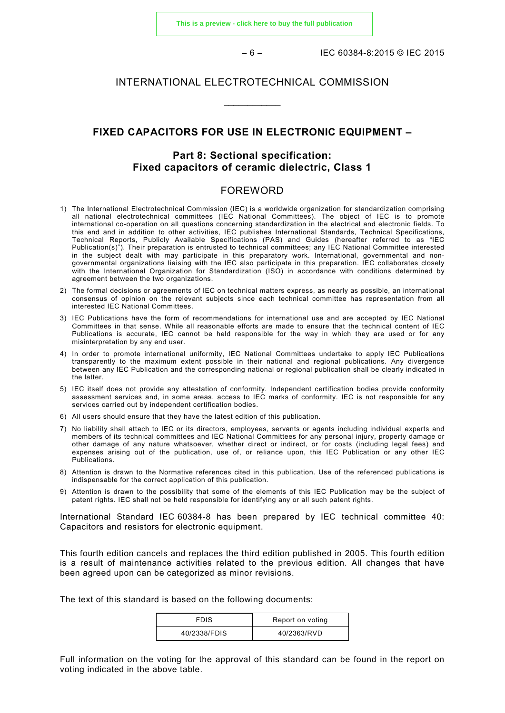**[This is a preview - click here to buy the full publication](https://webstore.iec.ch/publication/21931&preview)**

– 6 – IEC 60384-8:2015 © IEC 2015

#### INTERNATIONAL ELECTROTECHNICAL COMMISSION

 $\overline{\phantom{a}}$ 

## **FIXED CAPACITORS FOR USE IN ELECTRONIC EQUIPMENT –**

## **Part 8: Sectional specification: Fixed capacitors of ceramic dielectric, Class 1**

## FOREWORD

- 1) The International Electrotechnical Commission (IEC) is a worldwide organization for standardization comprising all national electrotechnical committees (IEC National Committees). The object of IEC is to promote international co-operation on all questions concerning standardization in the electrical and electronic fields. To this end and in addition to other activities, IEC publishes International Standards, Technical Specifications, Technical Reports, Publicly Available Specifications (PAS) and Guides (hereafter referred to as "IEC Publication(s)"). Their preparation is entrusted to technical committees; any IEC National Committee interested in the subject dealt with may participate in this preparatory work. International, governmental and nongovernmental organizations liaising with the IEC also participate in this preparation. IEC collaborates closely with the International Organization for Standardization (ISO) in accordance with conditions determined by agreement between the two organizations.
- 2) The formal decisions or agreements of IEC on technical matters express, as nearly as possible, an international consensus of opinion on the relevant subjects since each technical committee has representation from all interested IEC National Committees.
- 3) IEC Publications have the form of recommendations for international use and are accepted by IEC National Committees in that sense. While all reasonable efforts are made to ensure that the technical content of IEC Publications is accurate, IEC cannot be held responsible for the way in which they are used or for any misinterpretation by any end user.
- 4) In order to promote international uniformity, IEC National Committees undertake to apply IEC Publications transparently to the maximum extent possible in their national and regional publications. Any divergence between any IEC Publication and the corresponding national or regional publication shall be clearly indicated in the latter.
- 5) IEC itself does not provide any attestation of conformity. Independent certification bodies provide conformity assessment services and, in some areas, access to IEC marks of conformity. IEC is not responsible for any services carried out by independent certification bodies.
- 6) All users should ensure that they have the latest edition of this publication.
- 7) No liability shall attach to IEC or its directors, employees, servants or agents including individual experts and members of its technical committees and IEC National Committees for any personal injury, property damage or other damage of any nature whatsoever, whether direct or indirect, or for costs (including legal fees) and expenses arising out of the publication, use of, or reliance upon, this IEC Publication or any other IEC Publications.
- 8) Attention is drawn to the Normative references cited in this publication. Use of the referenced publications is indispensable for the correct application of this publication.
- 9) Attention is drawn to the possibility that some of the elements of this IEC Publication may be the subject of patent rights. IEC shall not be held responsible for identifying any or all such patent rights.

International Standard IEC 60384-8 has been prepared by IEC technical committee 40: Capacitors and resistors for electronic equipment.

This fourth edition cancels and replaces the third edition published in 2005. This fourth edition is a result of maintenance activities related to the previous edition. All changes that have been agreed upon can be categorized as minor revisions.

The text of this standard is based on the following documents:

| <b>FDIS</b>  | Report on voting |
|--------------|------------------|
| 40/2338/FDIS | 40/2363/RVD      |

Full information on the voting for the approval of this standard can be found in the report on voting indicated in the above table.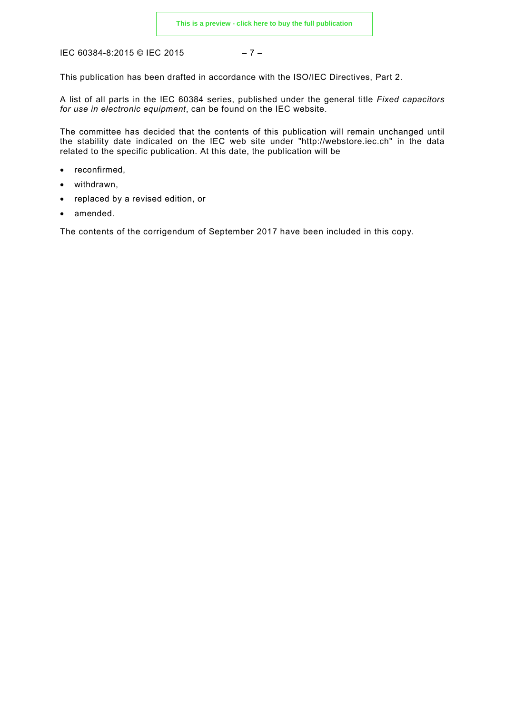IEC 60384-8:2015 © IEC 2015 – 7 –

This publication has been drafted in accordance with the ISO/IEC Directives, Part 2.

A list of all parts in the IEC 60384 series, published under the general title *Fixed capacitors for use in electronic equipment*, can be found on the IEC website.

The committee has decided that the contents of this publication will remain unchanged until the stability date indicated on the IEC web site under "http://webstore.iec.ch" in the data related to the specific publication. At this date, the publication will be

- reconfirmed,
- withdrawn,
- replaced by a revised edition, or
- amended.

The contents of the corrigendum of September 2017 have been included in this copy.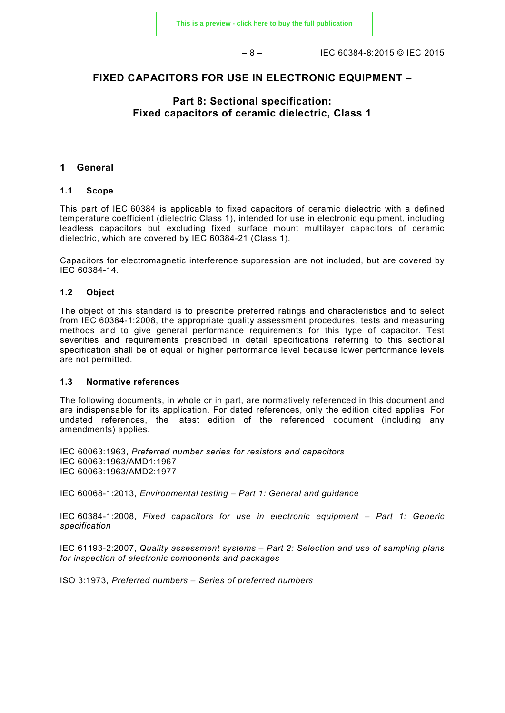– 8 – IEC 60384-8:2015 © IEC 2015

## **FIXED CAPACITORS FOR USE IN ELECTRONIC EQUIPMENT –**

## **Part 8: Sectional specification: Fixed capacitors of ceramic dielectric, Class 1**

#### **1 General**

#### **1.1 Scope**

This part of IEC 60384 is applicable to fixed capacitors of ceramic dielectric with a defined temperature coefficient (dielectric Class 1), intended for use in electronic equipment, including leadless capacitors but excluding fixed surface mount multilayer capacitors of ceramic dielectric, which are covered by IEC 60384-21 (Class 1).

Capacitors for electromagnetic interference suppression are not included, but are covered by IEC 60384-14.

#### **1.2 Object**

The object of this standard is to prescribe preferred ratings and characteristics and to select from IEC 60384-1:2008, the appropriate quality assessment procedures, tests and measuring methods and to give general performance requirements for this type of capacitor. Test severities and requirements prescribed in detail specifications referring to this sectional specification shall be of equal or higher performance level because lower performance levels are not permitted.

#### **1.3 Normative references**

The following documents, in whole or in part, are normatively referenced in this document and are indispensable for its application. For dated references, only the edition cited applies. For undated references, the latest edition of the referenced document (including any amendments) applies.

IEC 60063:1963, *Preferred number series for resistors and capacitors* IEC 60063:1963/AMD1:1967 IEC 60063:1963/AMD2:1977

IEC 60068-1:2013, *Environmental testing – Part 1: General and guidance*

IEC 60384-1:2008, *Fixed capacitors for use in electronic equipment – Part 1: Generic specification*

IEC 61193-2:2007, *Quality assessment systems – Part 2: Selection and use of sampling plans for inspection of electronic components and packages*

ISO 3:1973, *Preferred numbers – Series of preferred numbers*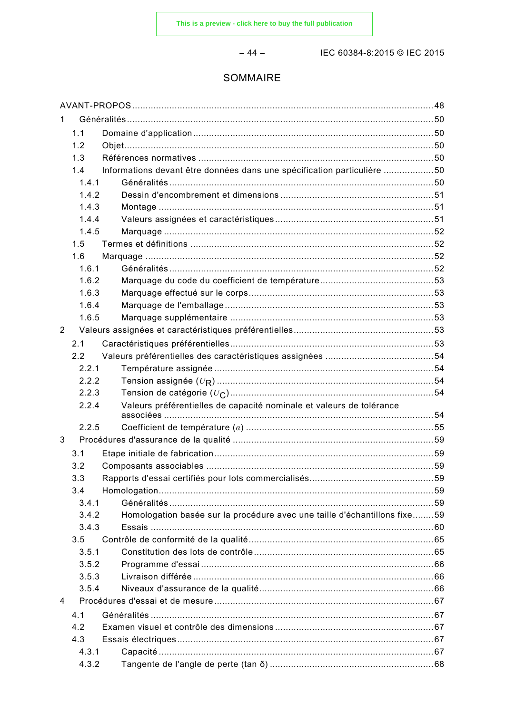$-44-$ 

IEC 60384-8:2015 © IEC 2015

## SOMMAIRE

| 1 |       |                                                                           |    |
|---|-------|---------------------------------------------------------------------------|----|
|   | 1.1   |                                                                           |    |
|   | 1.2   |                                                                           |    |
|   | 1.3   |                                                                           |    |
|   | 1.4   | Informations devant être données dans une spécification particulière 50   |    |
|   | 1.4.1 |                                                                           |    |
|   | 1.4.2 |                                                                           |    |
|   | 1.4.3 |                                                                           |    |
|   | 1.4.4 |                                                                           |    |
|   | 1.4.5 |                                                                           |    |
|   | 1.5   |                                                                           |    |
|   | 1.6   |                                                                           |    |
|   | 1.6.1 |                                                                           |    |
|   | 1.6.2 |                                                                           |    |
|   | 1.6.3 |                                                                           |    |
|   | 1.6.4 |                                                                           |    |
|   | 1.6.5 |                                                                           |    |
| 2 |       |                                                                           |    |
|   | 2.1   |                                                                           |    |
|   | 2.2   |                                                                           |    |
|   | 2.2.1 |                                                                           |    |
|   | 2.2.2 |                                                                           |    |
|   | 2.2.3 |                                                                           |    |
|   | 2.2.4 | Valeurs préférentielles de capacité nominale et valeurs de tolérance      |    |
|   |       |                                                                           |    |
|   | 2.2.5 |                                                                           |    |
| 3 |       |                                                                           |    |
|   | 3.1   |                                                                           |    |
|   | 3.2   |                                                                           |    |
|   | 3.3   |                                                                           | 59 |
|   | 3.4   |                                                                           |    |
|   | 3.4.1 |                                                                           |    |
|   | 3.4.2 | Homologation basée sur la procédure avec une taille d'échantillons fixe59 |    |
|   | 3.4.3 |                                                                           |    |
|   | 3.5   |                                                                           |    |
|   | 3.5.1 |                                                                           |    |
|   | 3.5.2 |                                                                           |    |
|   | 3.5.3 |                                                                           |    |
|   | 3.5.4 |                                                                           |    |
| 4 |       |                                                                           |    |
|   | 4.1   |                                                                           |    |
|   | 4.2   |                                                                           |    |
|   | 4.3   |                                                                           |    |
|   | 4.3.1 |                                                                           |    |
|   | 4.3.2 |                                                                           |    |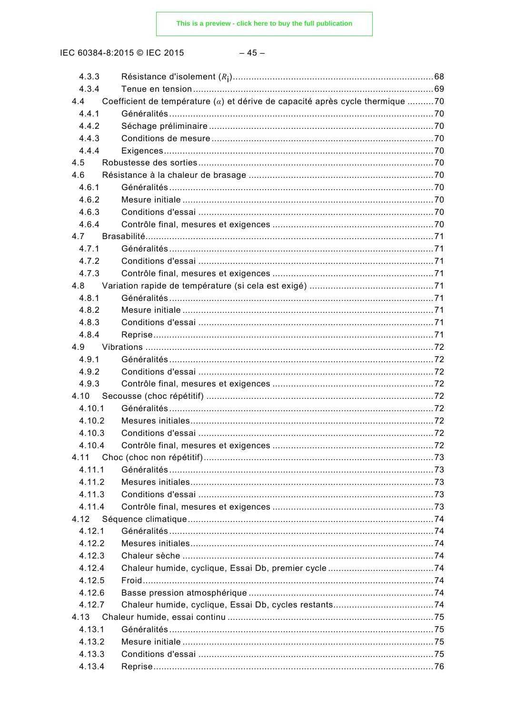IEC 60384-8:2015 © IEC 2015

| 4.3.3  |                                                                                 |  |
|--------|---------------------------------------------------------------------------------|--|
| 4.3.4  |                                                                                 |  |
| 4.4    | Coefficient de température $(a)$ et dérive de capacité après cycle thermique 70 |  |
| 4.4.1  |                                                                                 |  |
| 4.4.2  |                                                                                 |  |
| 4.4.3  |                                                                                 |  |
| 4.4.4  |                                                                                 |  |
| 4.5    |                                                                                 |  |
| 4.6    |                                                                                 |  |
| 4.6.1  |                                                                                 |  |
| 4.6.2  |                                                                                 |  |
| 4.6.3  |                                                                                 |  |
| 4.6.4  |                                                                                 |  |
| 4.7    |                                                                                 |  |
| 4.7.1  |                                                                                 |  |
| 4.7.2  |                                                                                 |  |
| 4.7.3  |                                                                                 |  |
| 4.8    |                                                                                 |  |
| 4.8.1  |                                                                                 |  |
| 4.8.2  |                                                                                 |  |
| 4.8.3  |                                                                                 |  |
| 4.8.4  |                                                                                 |  |
| 4.9    |                                                                                 |  |
| 4.9.1  |                                                                                 |  |
| 4.9.2  |                                                                                 |  |
| 4.9.3  |                                                                                 |  |
| 4.10   |                                                                                 |  |
| 4.10.1 |                                                                                 |  |
| 4.10.2 |                                                                                 |  |
| 4.10.3 |                                                                                 |  |
| 4 10 4 |                                                                                 |  |
| 4.11   |                                                                                 |  |
| 4.11.1 |                                                                                 |  |
| 4.11.2 |                                                                                 |  |
| 4.11.3 |                                                                                 |  |
| 4.11.4 |                                                                                 |  |
| 4.12   |                                                                                 |  |
| 4.12.1 |                                                                                 |  |
| 4.12.2 |                                                                                 |  |
| 4.12.3 |                                                                                 |  |
|        |                                                                                 |  |
| 4.12.4 |                                                                                 |  |
| 4.12.5 |                                                                                 |  |
| 4.12.6 |                                                                                 |  |
| 4.12.7 |                                                                                 |  |
| 4.13   |                                                                                 |  |
| 4.13.1 |                                                                                 |  |
| 4.13.2 |                                                                                 |  |
| 4.13.3 |                                                                                 |  |
| 4.13.4 |                                                                                 |  |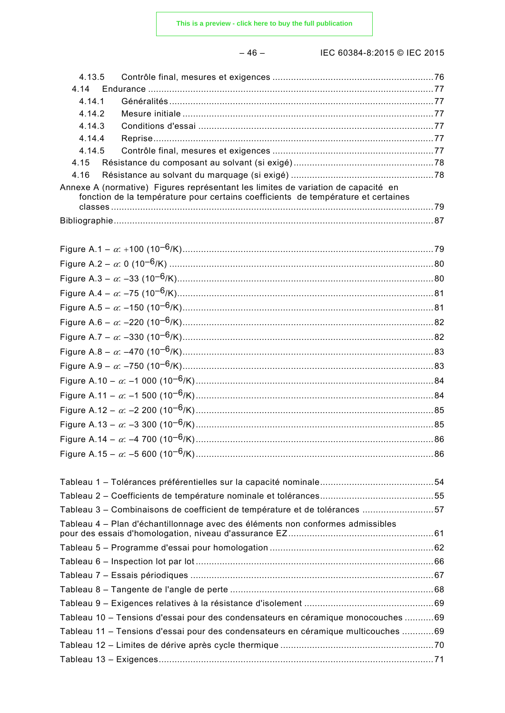– 46 – IEC 60384-8:2015 © IEC 2015

| 4.13.5                                                                                                                                                                 |  |
|------------------------------------------------------------------------------------------------------------------------------------------------------------------------|--|
| 4.14                                                                                                                                                                   |  |
| 4.14.1                                                                                                                                                                 |  |
| 4 14 2<br>4.14.3                                                                                                                                                       |  |
| 4.14.4                                                                                                                                                                 |  |
| 4.14.5                                                                                                                                                                 |  |
| 4.15                                                                                                                                                                   |  |
| 4.16                                                                                                                                                                   |  |
| Annexe A (normative) Figures représentant les limites de variation de capacité en<br>fonction de la température pour certains coefficients de température et certaines |  |
|                                                                                                                                                                        |  |
|                                                                                                                                                                        |  |
|                                                                                                                                                                        |  |
|                                                                                                                                                                        |  |
|                                                                                                                                                                        |  |
|                                                                                                                                                                        |  |
|                                                                                                                                                                        |  |
|                                                                                                                                                                        |  |
|                                                                                                                                                                        |  |
|                                                                                                                                                                        |  |
|                                                                                                                                                                        |  |
|                                                                                                                                                                        |  |
|                                                                                                                                                                        |  |
|                                                                                                                                                                        |  |
|                                                                                                                                                                        |  |
|                                                                                                                                                                        |  |
|                                                                                                                                                                        |  |
|                                                                                                                                                                        |  |
|                                                                                                                                                                        |  |
|                                                                                                                                                                        |  |
| Tableau 3 – Combinaisons de coefficient de température et de tolérances 57                                                                                             |  |
| Tableau 4 – Plan d'échantillonnage avec des éléments non conformes admissibles                                                                                         |  |
|                                                                                                                                                                        |  |
|                                                                                                                                                                        |  |
|                                                                                                                                                                        |  |
|                                                                                                                                                                        |  |
|                                                                                                                                                                        |  |
| Tableau 10 - Tensions d'essai pour des condensateurs en céramique monocouches 69                                                                                       |  |
| Tableau 11 – Tensions d'essai pour des condensateurs en céramique multicouches 69                                                                                      |  |
|                                                                                                                                                                        |  |
|                                                                                                                                                                        |  |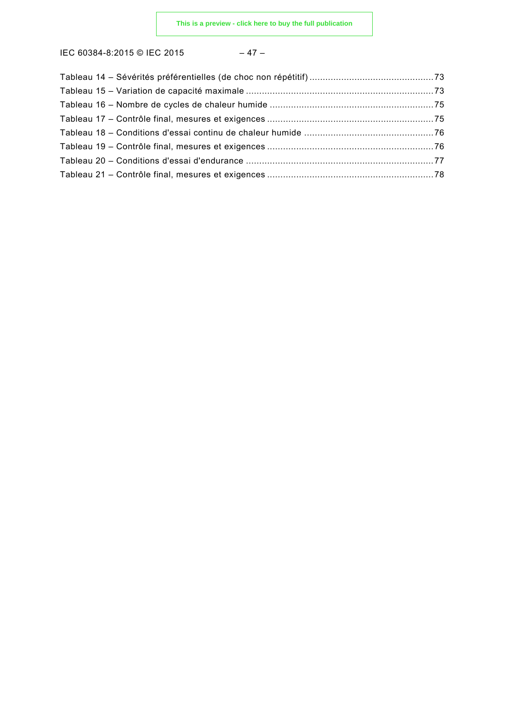IEC 60384-8:2015 © IEC 2015 – 47 –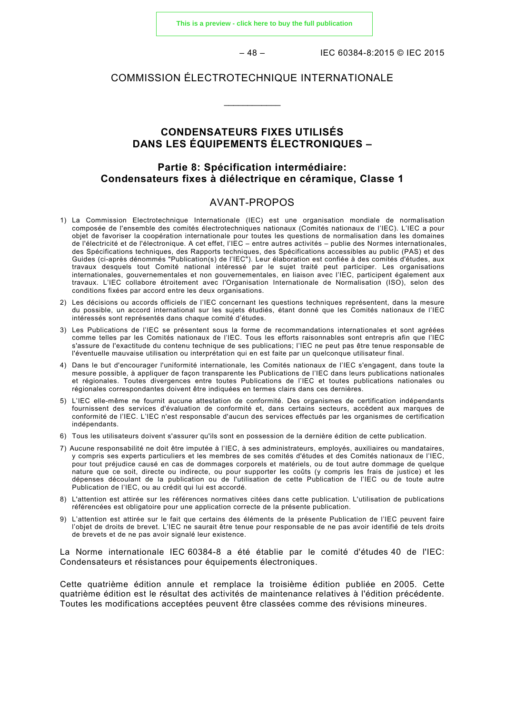**[This is a preview - click here to buy the full publication](https://webstore.iec.ch/publication/21931&preview)**

– 48 – IEC 60384-8:2015 © IEC 2015

## COMMISSION ÉLECTROTECHNIQUE INTERNATIONALE

\_\_\_\_\_\_\_\_\_\_\_\_

## **CONDENSATEURS FIXES UTILISÉS DANS LES ÉQUIPEMENTS ÉLECTRONIQUES –**

## **Partie 8: Spécification intermédiaire: Condensateurs fixes à diélectrique en céramique, Classe 1**

## AVANT-PROPOS

- 1) La Commission Electrotechnique Internationale (IEC) est une organisation mondiale de normalisation composée de l'ensemble des comités électrotechniques nationaux (Comités nationaux de l'IEC). L'IEC a pour objet de favoriser la coopération internationale pour toutes les questions de normalisation dans les domaines de l'électricité et de l'électronique. A cet effet, l'IEC – entre autres activités – publie des Normes internationales, des Spécifications techniques, des Rapports techniques, des Spécifications accessibles au public (PAS) et des Guides (ci-après dénommés "Publication(s) de l'IEC"). Leur élaboration est confiée à des comités d'études, aux travaux desquels tout Comité national intéressé par le sujet traité peut participer. Les organisations internationales, gouvernementales et non gouvernementales, en liaison avec l'IEC, participent également aux travaux. L'IEC collabore étroitement avec l'Organisation Internationale de Normalisation (ISO), selon des conditions fixées par accord entre les deux organisations.
- 2) Les décisions ou accords officiels de l'IEC concernant les questions techniques représentent, dans la mesure du possible, un accord international sur les sujets étudiés, étant donné que les Comités nationaux de l'IEC intéressés sont représentés dans chaque comité d'études.
- 3) Les Publications de l'IEC se présentent sous la forme de recommandations internationales et sont agréées comme telles par les Comités nationaux de l'IEC. Tous les efforts raisonnables sont entrepris afin que l'IEC s'assure de l'exactitude du contenu technique de ses publications; l'IEC ne peut pas être tenue responsable de l'éventuelle mauvaise utilisation ou interprétation qui en est faite par un quelconque utilisateur final.
- 4) Dans le but d'encourager l'uniformité internationale, les Comités nationaux de l'IEC s'engagent, dans toute la mesure possible, à appliquer de façon transparente les Publications de l'IEC dans leurs publications nationales et régionales. Toutes divergences entre toutes Publications de l'IEC et toutes publications nationales ou régionales correspondantes doivent être indiquées en termes clairs dans ces dernières.
- 5) L'IEC elle-même ne fournit aucune attestation de conformité. Des organismes de certification indépendants fournissent des services d'évaluation de conformité et, dans certains secteurs, accèdent aux marques de conformité de l'IEC. L'IEC n'est responsable d'aucun des services effectués par les organismes de certification indépendants.
- 6) Tous les utilisateurs doivent s'assurer qu'ils sont en possession de la dernière édition de cette publication.
- 7) Aucune responsabilité ne doit être imputée à l'IEC, à ses administrateurs, employés, auxiliaires ou mandataires, y compris ses experts particuliers et les membres de ses comités d'études et des Comités nationaux de l'IEC, pour tout préjudice causé en cas de dommages corporels et matériels, ou de tout autre dommage de quelque nature que ce soit, directe ou indirecte, ou pour supporter les coûts (y compris les frais de justice) et les dépenses découlant de la publication ou de l'utilisation de cette Publication de l'IEC ou de toute autre Publication de l'IEC, ou au crédit qui lui est accordé.
- 8) L'attention est attirée sur les références normatives citées dans cette publication. L'utilisation de publications référencées est obligatoire pour une application correcte de la présente publication.
- 9) L'attention est attirée sur le fait que certains des éléments de la présente Publication de l'IEC peuvent faire l'objet de droits de brevet. L'IEC ne saurait être tenue pour responsable de ne pas avoir identifié de tels droits de brevets et de ne pas avoir signalé leur existence.

La Norme internationale IEC 60384-8 a été établie par le comité d'études 40 de l'IEC: Condensateurs et résistances pour équipements électroniques.

Cette quatrième édition annule et remplace la troisième édition publiée en 2005. Cette quatrième édition est le résultat des activités de maintenance relatives à l'édition précédente. Toutes les modifications acceptées peuvent être classées comme des révisions mineures.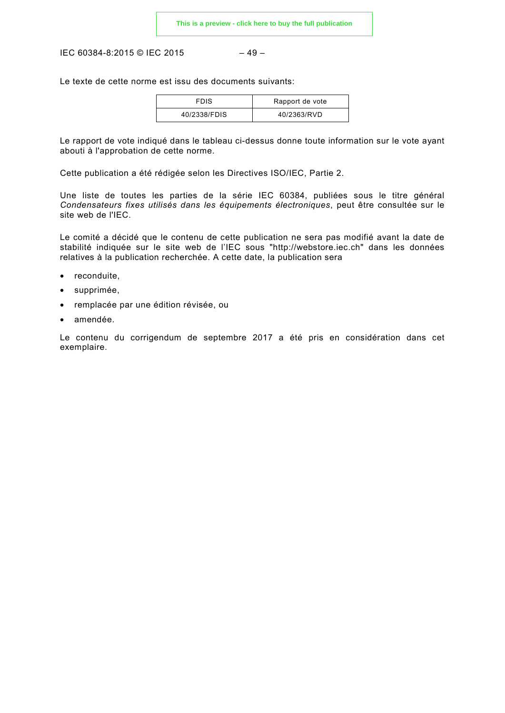IEC 60384-8:2015 © IEC 2015 – 49 –

Le texte de cette norme est issu des documents suivants:

| <b>FDIS</b>  | Rapport de vote |
|--------------|-----------------|
| 40/2338/FDIS | 40/2363/RVD     |

Le rapport de vote indiqué dans le tableau ci-dessus donne toute information sur le vote ayant abouti à l'approbation de cette norme.

Cette publication a été rédigée selon les Directives ISO/IEC, Partie 2.

Une liste de toutes les parties de la série IEC 60384, publiées sous le titre général *Condensateurs fixes utilisés dans les équipements électroniques*, peut être consultée sur le site web de l'IEC.

Le comité a décidé que le contenu de cette publication ne sera pas modifié avant la date de stabilité indiquée sur le site web de l'IEC sous "http://webstore.iec.ch" dans les données relatives à la publication recherchée. A cette date, la publication sera

- reconduite,
- supprimée,
- remplacée par une édition révisée, ou
- amendée.

Le contenu du corrigendum de septembre 2017 a été pris en considération dans cet exemplaire.